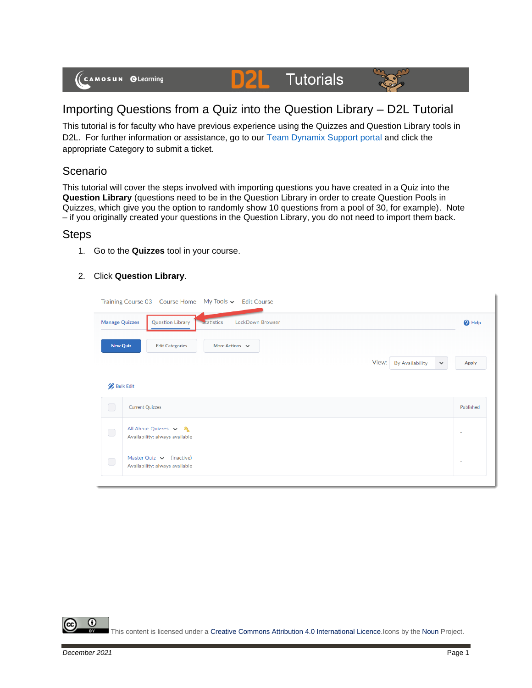(CAMOSUN @Learning

# Importing Questions from a Quiz into the Question Library – D2L Tutorial

Tutorials

DZI

This tutorial is for faculty who have previous experience using the Quizzes and Question Library tools in D2L. For further information or assistance, go to our [Team Dynamix Support portal](https://camosun.teamdynamix.com/TDClient/67/Portal/Requests/ServiceCatalog?CategoryID=523) and click the appropriate Category to submit a ticket.

### Scenario

This tutorial will cover the steps involved with importing questions you have created in a Quiz into the **Question Library** (questions need to be in the Question Library in order to create Question Pools in Quizzes, which give you the option to randomly show 10 questions from a pool of 30, for example). Note – if you originally created your questions in the Question Library, you do not need to import them back.

#### **Steps**

1. Go to the **Quizzes** tool in your course.

#### 2. Click **Question Library**.

| Training Course 03 Course Home My Tools v Edit Course                              |                                                                 |       |                 |              |              |  |  |  |
|------------------------------------------------------------------------------------|-----------------------------------------------------------------|-------|-----------------|--------------|--------------|--|--|--|
| <b>Question Library</b><br>statistics<br>LockDown Browser<br><b>Manage Quizzes</b> |                                                                 |       |                 |              |              |  |  |  |
| <b>New Quiz</b>                                                                    | <b>Edit Categories</b><br>More Actions $\vee$                   |       |                 |              |              |  |  |  |
|                                                                                    |                                                                 | View: | By Availability | $\checkmark$ | <b>Apply</b> |  |  |  |
| <b>Bulk Edit</b>                                                                   |                                                                 |       |                 |              |              |  |  |  |
| O                                                                                  | <b>Current Quizzes</b>                                          |       |                 |              | Published    |  |  |  |
| $\bigcirc$                                                                         | All About Quizzes v &<br>Availability: always available         |       |                 |              | ٠            |  |  |  |
| $\bigcirc$                                                                         | Master Quiz $\vee$ (inactive)<br>Availability: always available |       |                 |              | $\sim$       |  |  |  |
|                                                                                    |                                                                 |       |                 |              |              |  |  |  |

Œ This content is licensed under [a Creative Commons Attribution 4.0 International Licence.I](https://creativecommons.org/licenses/by/4.0/)cons by the [Noun](https://creativecommons.org/website-icons/) Project.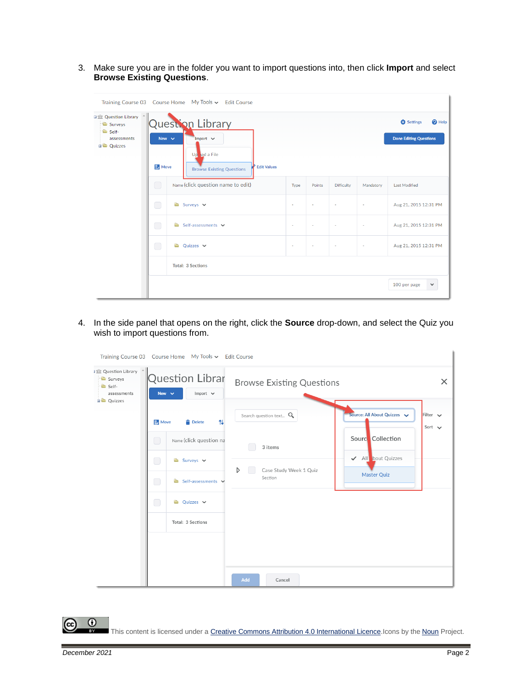3. Make sure you are in the folder you want to import questions into, then click **Import** and select **Browse Existing Questions**.

|                                                                                        |                                        | Training Course 03  Course Home  My Tools v  Edit Course                |        |        |                   |           |                              |  |  |  |
|----------------------------------------------------------------------------------------|----------------------------------------|-------------------------------------------------------------------------|--------|--------|-------------------|-----------|------------------------------|--|--|--|
| 日 Question Library<br>Surveys<br><sup>t</sup> Self-<br>assessments<br><b>D</b> Ouizzes | Question Library<br>New $\vee$<br>Move | <sup>O</sup> Help<br><b>D</b> Settings<br><b>Done Editing Questions</b> |        |        |                   |           |                              |  |  |  |
|                                                                                        | $\Box$                                 | Name (click question name to edit)                                      | Type   | Points | <b>Difficulty</b> | Mandatory | <b>Last Modified</b>         |  |  |  |
|                                                                                        | □                                      | $\triangle$ Surveys $\vee$                                              | ٠      | ٠      | $\sim$            | $\sim$    | Aug 21, 2015 12:31 PM        |  |  |  |
|                                                                                        | □                                      | Self-assessments $\vee$<br>a an                                         | ٠      | $\sim$ | $\sim$            | ٠         | Aug 21, 2015 12:31 PM        |  |  |  |
|                                                                                        | $\bigcirc$                             | $\bullet$ Ouizzes $\vee$                                                | $\sim$ | ×      | $\sim$            | $\sim$    | Aug 21, 2015 12:31 PM        |  |  |  |
|                                                                                        | <b>Total: 3 Sections</b>               |                                                                         |        |        |                   |           |                              |  |  |  |
|                                                                                        |                                        |                                                                         |        |        |                   |           | 100 per page<br>$\checkmark$ |  |  |  |

4. In the side panel that opens on the right, click the **Source** drop-down, and select the Quiz you wish to import questions from.

| Training Course 03 Course Home My Tools v Edit Course                               |                                                |                         |  |                                                       |         |                                  |                              |          |  |
|-------------------------------------------------------------------------------------|------------------------------------------------|-------------------------|--|-------------------------------------------------------|---------|----------------------------------|------------------------------|----------|--|
| <b>J</b> 企 Question Library<br>Surveys<br>Self-<br>assessments<br><b>BO</b> Quizzes | Question Librar<br>New $\vee$<br>Import $\vee$ |                         |  |                                                       |         | <b>Browse Existing Questions</b> |                              | $\times$ |  |
|                                                                                     | Move<br>14<br><b>Delete</b>                    |                         |  | Search question text $Q$                              |         | Source: All About Quizzes        | Filter $\vee$<br>Sort $\vee$ |          |  |
|                                                                                     | $\bigcirc$                                     | Name (click question na |  | 3 items<br>$\triangleright$<br>Case Study Week 1 Quiz |         | Sourc Collection                 |                              |          |  |
|                                                                                     | $\Box$<br>$\bigcirc$                           | Surveys v               |  |                                                       | Section | ← All bout Quizzes               |                              |          |  |
|                                                                                     |                                                | Self-assessments v      |  |                                                       |         |                                  | Master Quiz                  |          |  |
|                                                                                     | $\Box$                                         | Quizzes $\vee$<br>Ò     |  |                                                       |         |                                  |                              |          |  |
|                                                                                     |                                                | Total: 3 Sections       |  |                                                       |         |                                  |                              |          |  |
|                                                                                     |                                                |                         |  |                                                       |         |                                  |                              |          |  |
|                                                                                     |                                                |                         |  |                                                       |         |                                  |                              |          |  |
|                                                                                     |                                                |                         |  | Add                                                   | Cancel  |                                  |                              |          |  |

This content is licensed under [a Creative Commons Attribution 4.0 International Licence.I](https://creativecommons.org/licenses/by/4.0/)cons by the [Noun](https://creativecommons.org/website-icons/) Project.

 $\odot$